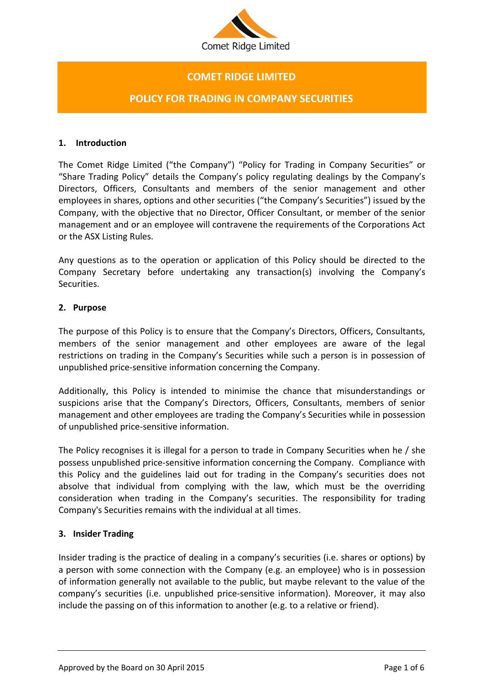

# **COMET RIDGE LIMITED**

## **POLICY FOR TRADING IN COMPANY SECURITIES**

#### **1. Introduction**

The Comet Ridge Limited ("the Company") "Policy for Trading in Company Securities" or "Share Trading Policy" details the Company's policy regulating dealings by the Company's Directors, Officers, Consultants and members of the senior management and other employees in shares, options and other securities ("the Company's Securities") issued by the Company, with the objective that no Director, Officer Consultant, or member of the senior management and or an employee will contravene the requirements of the Corporations Act or the ASX Listing Rules.

Any questions as to the operation or application of this Policy should be directed to the Company Secretary before undertaking any transaction(s) involving the Company's Securities.

### **2. Purpose**

The purpose of this Policy is to ensure that the Company's Directors, Officers, Consultants, members of the senior management and other employees are aware of the legal restrictions on trading in the Company's Securities while such a person is in possession of unpublished price-sensitive information concerning the Company.

Additionally, this Policy is intended to minimise the chance that misunderstandings or suspicions arise that the Company's Directors, Officers, Consultants, members of senior management and other employees are trading the Company's Securities while in possession of unpublished price-sensitive information.

The Policy recognises it is illegal for a person to trade in Company Securities when he / she possess unpublished price-sensitive information concerning the Company. Compliance with this Policy and the guidelines laid out for trading in the Company's securities does not absolve that individual from complying with the law, which must be the overriding consideration when trading in the Company's securities. The responsibility for trading Company's Securities remains with the individual at all times.

### **3. Insider Trading**

Insider trading is the practice of dealing in a company's securities (i.e. shares or options) by a person with some connection with the Company (e.g. an employee) who is in possession of information generally not available to the public, but maybe relevant to the value of the company's securities (i.e. unpublished price-sensitive information). Moreover, it may also include the passing on of this information to another (e.g. to a relative or friend).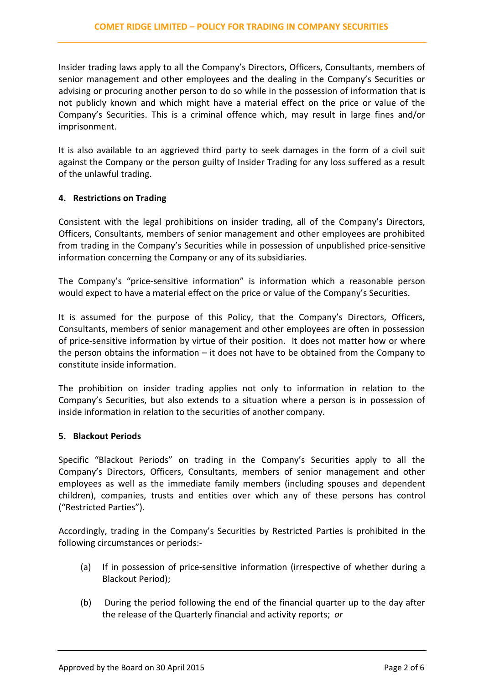Insider trading laws apply to all the Company's Directors, Officers, Consultants, members of senior management and other employees and the dealing in the Company's Securities or advising or procuring another person to do so while in the possession of information that is not publicly known and which might have a material effect on the price or value of the Company's Securities. This is a criminal offence which, may result in large fines and/or imprisonment.

It is also available to an aggrieved third party to seek damages in the form of a civil suit against the Company or the person guilty of Insider Trading for any loss suffered as a result of the unlawful trading.

## **4. Restrictions on Trading**

Consistent with the legal prohibitions on insider trading, all of the Company's Directors, Officers, Consultants, members of senior management and other employees are prohibited from trading in the Company's Securities while in possession of unpublished price-sensitive information concerning the Company or any of its subsidiaries.

The Company's "price-sensitive information" is information which a reasonable person would expect to have a material effect on the price or value of the Company's Securities.

It is assumed for the purpose of this Policy, that the Company's Directors, Officers, Consultants, members of senior management and other employees are often in possession of price-sensitive information by virtue of their position. It does not matter how or where the person obtains the information  $-$  it does not have to be obtained from the Company to constitute inside information.

The prohibition on insider trading applies not only to information in relation to the Company's Securities, but also extends to a situation where a person is in possession of inside information in relation to the securities of another company.

### **5. Blackout Periods**

Specific "Blackout Periods" on trading in the Company's Securities apply to all the Company's Directors, Officers, Consultants, members of senior management and other employees as well as the immediate family members (including spouses and dependent children), companies, trusts and entities over which any of these persons has control ("Restricted Parties").

Accordingly, trading in the Company's Securities by Restricted Parties is prohibited in the following circumstances or periods:-

- (a) If in possession of price-sensitive information (irrespective of whether during a Blackout Period);
- (b) During the period following the end of the financial quarter up to the day after the release of the Quarterly financial and activity reports; *or*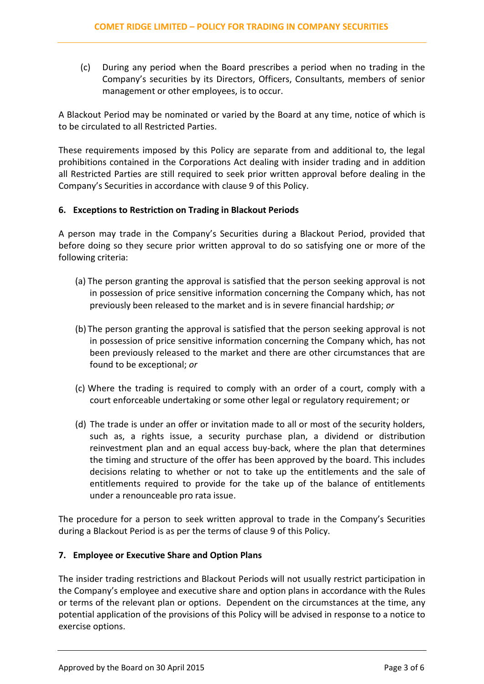(c) During any period when the Board prescribes a period when no trading in the Company's securities by its Directors, Officers, Consultants, members of senior management or other employees, is to occur.

A Blackout Period may be nominated or varied by the Board at any time, notice of which is to be circulated to all Restricted Parties.

These requirements imposed by this Policy are separate from and additional to, the legal prohibitions contained in the Corporations Act dealing with insider trading and in addition all Restricted Parties are still required to seek prior written approval before dealing in the Company's Securities in accordance with clause 9 of this Policy.

## **6. Exceptions to Restriction on Trading in Blackout Periods**

A person may trade in the Company's Securities during a Blackout Period, provided that before doing so they secure prior written approval to do so satisfying one or more of the following criteria:

- (a) The person granting the approval is satisfied that the person seeking approval is not in possession of price sensitive information concerning the Company which, has not previously been released to the market and is in severe financial hardship; *or*
- (b) The person granting the approval is satisfied that the person seeking approval is not in possession of price sensitive information concerning the Company which, has not been previously released to the market and there are other circumstances that are found to be exceptional; *or*
- (c) Where the trading is required to comply with an order of a court, comply with a court enforceable undertaking or some other legal or regulatory requirement; or
- (d) The trade is under an offer or invitation made to all or most of the security holders, such as, a rights issue, a security purchase plan, a dividend or distribution reinvestment plan and an equal access buy-back, where the plan that determines the timing and structure of the offer has been approved by the board. This includes decisions relating to whether or not to take up the entitlements and the sale of entitlements required to provide for the take up of the balance of entitlements under a renounceable pro rata issue.

The procedure for a person to seek written approval to trade in the Company's Securities during a Blackout Period is as per the terms of clause 9 of this Policy.

## **7. Employee or Executive Share and Option Plans**

The insider trading restrictions and Blackout Periods will not usually restrict participation in the Company's employee and executive share and option plans in accordance with the Rules or terms of the relevant plan or options. Dependent on the circumstances at the time, any potential application of the provisions of this Policy will be advised in response to a notice to exercise options.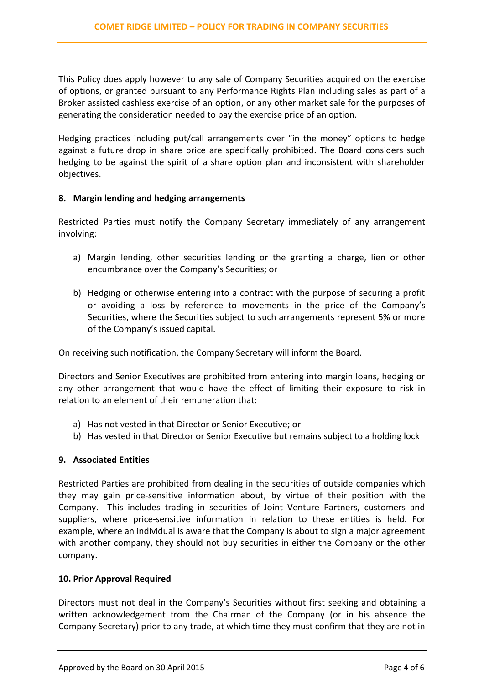This Policy does apply however to any sale of Company Securities acquired on the exercise of options, or granted pursuant to any Performance Rights Plan including sales as part of a Broker assisted cashless exercise of an option, or any other market sale for the purposes of generating the consideration needed to pay the exercise price of an option.

Hedging practices including put/call arrangements over "in the money" options to hedge against a future drop in share price are specifically prohibited. The Board considers such hedging to be against the spirit of a share option plan and inconsistent with shareholder objectives.

### **8. Margin lending and hedging arrangements**

Restricted Parties must notify the Company Secretary immediately of any arrangement involving:

- a) Margin lending, other securities lending or the granting a charge, lien or other encumbrance over the Company's Securities; or
- b) Hedging or otherwise entering into a contract with the purpose of securing a profit or avoiding a loss by reference to movements in the price of the Company's Securities, where the Securities subject to such arrangements represent 5% or more of the Company's issued capital.

On receiving such notification, the Company Secretary will inform the Board.

Directors and Senior Executives are prohibited from entering into margin loans, hedging or any other arrangement that would have the effect of limiting their exposure to risk in relation to an element of their remuneration that:

- a) Has not vested in that Director or Senior Executive; or
- b) Has vested in that Director or Senior Executive but remains subject to a holding lock

## **9. Associated Entities**

Restricted Parties are prohibited from dealing in the securities of outside companies which they may gain price-sensitive information about, by virtue of their position with the Company. This includes trading in securities of Joint Venture Partners, customers and suppliers, where price-sensitive information in relation to these entities is held. For example, where an individual is aware that the Company is about to sign a major agreement with another company, they should not buy securities in either the Company or the other company.

### **10. Prior Approval Required**

Directors must not deal in the Company's Securities without first seeking and obtaining a written acknowledgement from the Chairman of the Company (or in his absence the Company Secretary) prior to any trade, at which time they must confirm that they are not in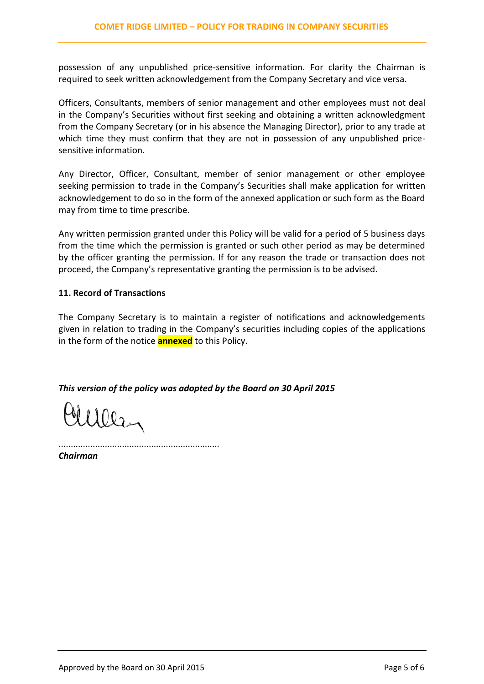possession of any unpublished price-sensitive information. For clarity the Chairman is required to seek written acknowledgement from the Company Secretary and vice versa.

Officers, Consultants, members of senior management and other employees must not deal in the Company's Securities without first seeking and obtaining a written acknowledgment from the Company Secretary (or in his absence the Managing Director), prior to any trade at which time they must confirm that they are not in possession of any unpublished pricesensitive information.

Any Director, Officer, Consultant, member of senior management or other employee seeking permission to trade in the Company's Securities shall make application for written acknowledgement to do so in the form of the annexed application or such form as the Board may from time to time prescribe.

Any written permission granted under this Policy will be valid for a period of 5 business days from the time which the permission is granted or such other period as may be determined by the officer granting the permission. If for any reason the trade or transaction does not proceed, the Company's representative granting the permission is to be advised.

## **11. Record of Transactions**

The Company Secretary is to maintain a register of notifications and acknowledgements given in relation to trading in the Company's securities including copies of the applications in the form of the notice **annexed** to this Policy.

*This version of the policy was adopted by the Board on 30 April 2015*

Mulley

..................................................................

*Chairman*